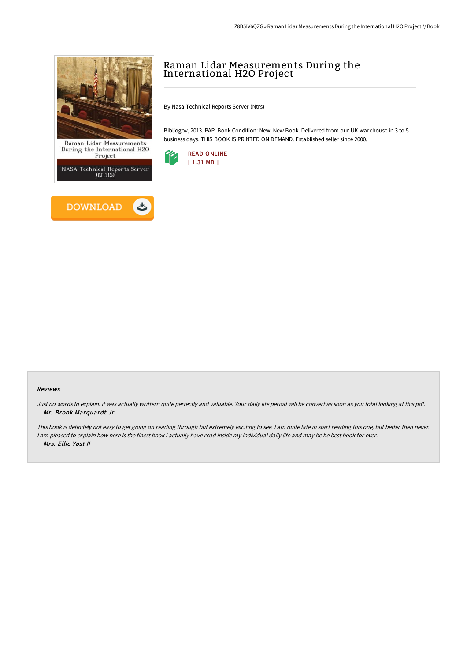

During the International H2O<br>Project

**NASA Technical Reports Server** (NTRS)



# Raman Lidar Measurements During the International H2O Project

By Nasa Technical Reports Server (Ntrs)

Bibliogov, 2013. PAP. Book Condition: New. New Book. Delivered from our UK warehouse in 3 to 5 business days. THIS BOOK IS PRINTED ON DEMAND. Established seller since 2000.



### Reviews

Just no words to explain. it was actually writtern quite perfectly and valuable. Your daily life period will be convert as soon as you total looking at this pdf. -- Mr. Brook Marquardt Jr.

This book is definitely not easy to get going on reading through but extremely exciting to see. <sup>I</sup> am quite late in start reading this one, but better then never. I am pleased to explain how here is the finest book i actually have read inside my individual daily life and may be he best book for ever. -- Mrs. Ellie Yost II